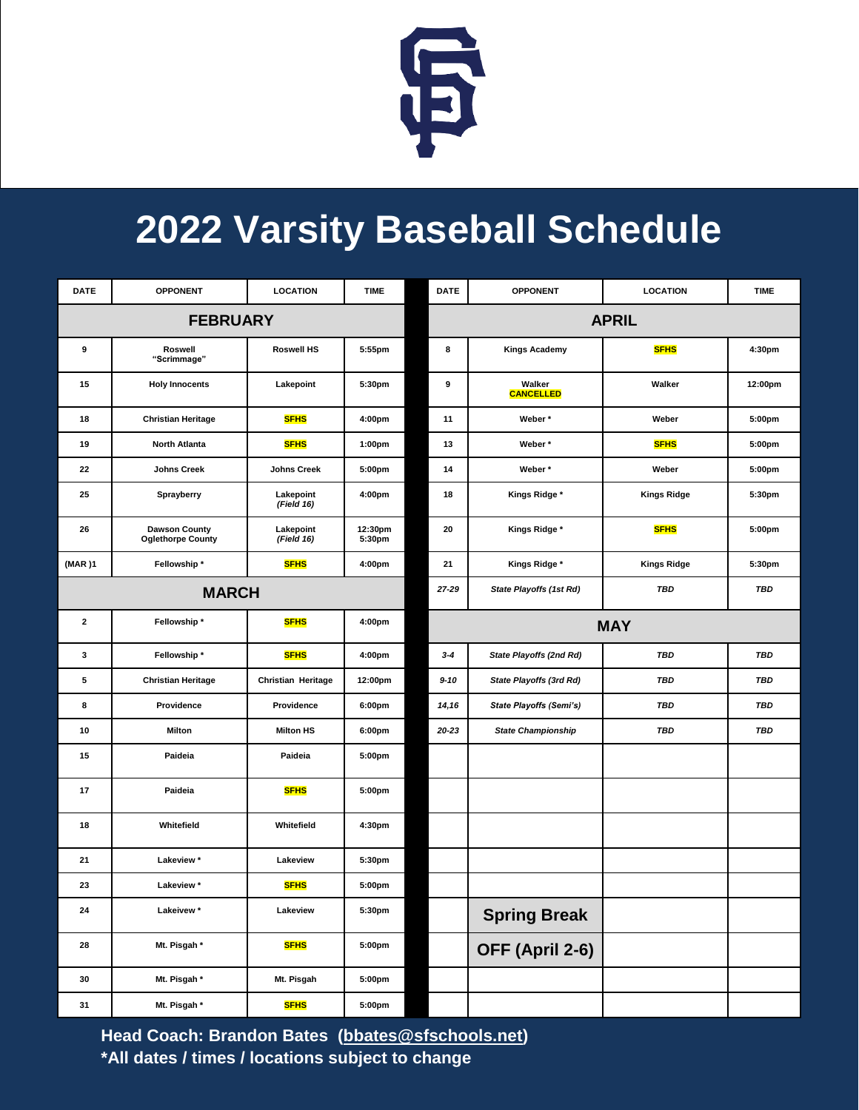

## **2022 Varsity Baseball Schedule**

| <b>DATE</b>     | <b>OPPONENT</b>                                  | <b>LOCATION</b>         | <b>TIME</b>        | <b>DATE</b>             | <b>OPPONENT</b>                | <b>LOCATION</b>    | <b>TIME</b> |
|-----------------|--------------------------------------------------|-------------------------|--------------------|-------------------------|--------------------------------|--------------------|-------------|
| <b>FEBRUARY</b> |                                                  |                         | <b>APRIL</b>       |                         |                                |                    |             |
| 9               | Roswell<br>"Scrimmage"                           | <b>Roswell HS</b>       | 5:55pm             | 8                       | <b>Kings Academy</b>           | <b>SFHS</b>        | 4:30pm      |
| 15              | <b>Holy Innocents</b>                            | Lakepoint               | 5:30pm             | 9                       | Walker<br><b>CANCELLED</b>     | Walker             | 12:00pm     |
| 18              | <b>Christian Heritage</b>                        | <b>SFHS</b>             | 4:00pm             | 11                      | Weber*                         | Weber              | 5:00pm      |
| 19              | <b>North Atlanta</b>                             | <b>SFHS</b>             | 1:00 <sub>pm</sub> | 13                      | Weber*                         | <b>SFHS</b>        | 5:00pm      |
| 22              | <b>Johns Creek</b>                               | <b>Johns Creek</b>      | 5:00pm             | 14                      | Weber*                         | Weber              | 5:00pm      |
| 25              | Sprayberry                                       | Lakepoint<br>(Field 16) | 4:00pm             | 18                      | Kings Ridge *                  | <b>Kings Ridge</b> | 5:30pm      |
| 26              | <b>Dawson County</b><br><b>Oglethorpe County</b> | Lakepoint<br>(Field 16) | 12:30pm<br>5:30pm  | 20                      | Kings Ridge *                  | <b>SFHS</b>        | 5:00pm      |
| (MAR)1          | Fellowship *                                     | <b>SFHS</b>             | 4:00pm             | 21                      | Kings Ridge *                  | <b>Kings Ridge</b> | 5:30pm      |
| <b>MARCH</b>    |                                                  |                         | 27-29              | State Playoffs (1st Rd) | <b>TBD</b>                     | TBD                |             |
| $\mathbf{2}$    | Fellowship *                                     | <b>SFHS</b>             | 4:00pm             |                         | <b>MAY</b>                     |                    |             |
| 3               | Fellowship*                                      | <b>SFHS</b>             | 4:00pm             | $3 - 4$                 | State Playoffs (2nd Rd)        | <b>TBD</b>         | <b>TBD</b>  |
| 5               | <b>Christian Heritage</b>                        | Christian Heritage      | 12:00pm            | $9 - 10$                | State Playoffs (3rd Rd)        | <b>TBD</b>         | <b>TBD</b>  |
| 8               | Providence                                       | Providence              | 6:00pm             | 14,16                   | <b>State Playoffs (Semi's)</b> | <b>TBD</b>         | <b>TBD</b>  |
| 10              | <b>Milton</b>                                    | <b>Milton HS</b>        | 6:00 <sub>pm</sub> | 20-23                   | <b>State Championship</b>      | <b>TBD</b>         | <b>TBD</b>  |
| 15              | Paideia                                          | Paideia                 | 5:00pm             |                         |                                |                    |             |
| 17              | Paideia                                          | <b>SFHS</b>             | 5:00pm             |                         |                                |                    |             |
| 18              | Whitefield                                       | Whitefield              | 4:30pm             |                         |                                |                    |             |
| 21              | Lakeview *                                       | Lakeview                | 5:30pm             |                         |                                |                    |             |
| 23              | Lakeview *                                       | <b>SFHS</b>             | 5:00pm             |                         |                                |                    |             |
| 24              | Lakeivew*                                        | Lakeview                | 5:30pm             |                         | <b>Spring Break</b>            |                    |             |
| 28              | Mt. Pisgah *                                     | <b>SFHS</b>             | 5:00pm             |                         | OFF (April 2-6)                |                    |             |
| 30              | Mt. Pisgah *                                     | Mt. Pisgah              | 5:00 <sub>pm</sub> |                         |                                |                    |             |
| 31              | Mt. Pisgah *                                     | <b>SFHS</b>             | 5:00pm             |                         |                                |                    |             |

**Head Coach: Brandon Bates [\(bbates@sfschools.net\)](mailto:bbates@sfschools.net) \*All dates / times / locations subject to change**